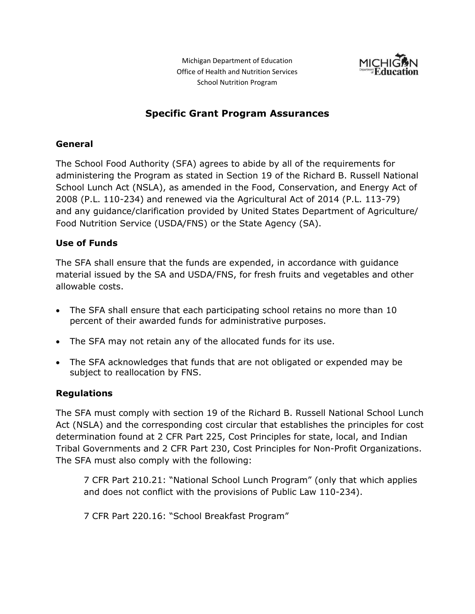Michigan Department of Education Office of Health and Nutrition Services School Nutrition Program



## **Specific Grant Program Assurances**

#### **General**

The School Food Authority (SFA) agrees to abide by all of the requirements for administering the Program as stated in Section 19 of the Richard B. Russell National School Lunch Act (NSLA), as amended in the Food, Conservation, and Energy Act of 2008 (P.L. 110-234) and renewed via the Agricultural Act of 2014 (P.L. 113-79) and any guidance/clarification provided by United States Department of Agriculture/ Food Nutrition Service (USDA/FNS) or the State Agency (SA).

#### **Use of Funds**

The SFA shall ensure that the funds are expended, in accordance with guidance material issued by the SA and USDA/FNS, for fresh fruits and vegetables and other allowable costs.

- The SFA shall ensure that each participating school retains no more than 10 percent of their awarded funds for administrative purposes.
- The SFA may not retain any of the allocated funds for its use.
- The SFA acknowledges that funds that are not obligated or expended may be subject to reallocation by FNS.

#### **Regulations**

The SFA must comply with section 19 of the Richard B. Russell National School Lunch Act (NSLA) and the corresponding cost circular that establishes the principles for cost determination found at 2 CFR Part 225, Cost Principles for state, local, and Indian Tribal Governments and 2 CFR Part 230, Cost Principles for Non-Profit Organizations. The SFA must also comply with the following:

7 CFR Part 210.21: "National School Lunch Program" (only that which applies and does not conflict with the provisions of Public Law 110-234).

7 CFR Part 220.16: "School Breakfast Program"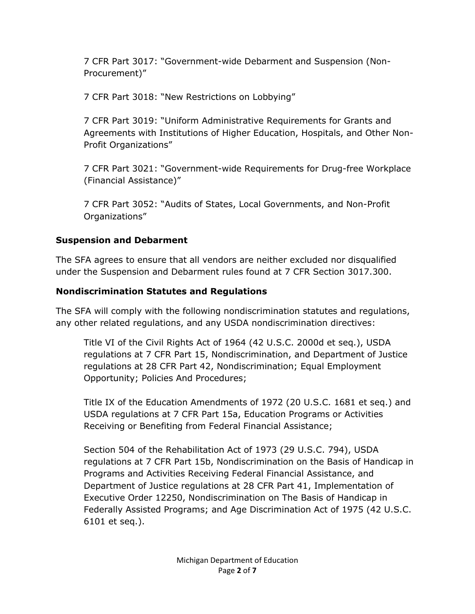7 CFR Part 3017: "Government-wide Debarment and Suspension (Non-Procurement)"

7 CFR Part 3018: "New Restrictions on Lobbying"

7 CFR Part 3019: "Uniform Administrative Requirements for Grants and Agreements with Institutions of Higher Education, Hospitals, and Other Non-Profit Organizations"

7 CFR Part 3021: "Government-wide Requirements for Drug-free Workplace (Financial Assistance)"

7 CFR Part 3052: "Audits of States, Local Governments, and Non-Profit Organizations"

### **Suspension and Debarment**

The SFA agrees to ensure that all vendors are neither excluded nor disqualified under the Suspension and Debarment rules found at 7 CFR Section 3017.300.

## **Nondiscrimination Statutes and Regulations**

The SFA will comply with the following nondiscrimination statutes and regulations, any other related regulations, and any USDA nondiscrimination directives:

Title VI of the Civil Rights Act of 1964 (42 U.S.C. 2000d et seq.), USDA regulations at 7 CFR Part 15, Nondiscrimination, and Department of Justice regulations at 28 CFR Part 42, Nondiscrimination; Equal Employment Opportunity; Policies And Procedures;

Title IX of the Education Amendments of 1972 (20 U.S.C. 1681 et seq.) and USDA regulations at 7 CFR Part 15a, Education Programs or Activities Receiving or Benefiting from Federal Financial Assistance;

Section 504 of the Rehabilitation Act of 1973 (29 U.S.C. 794), USDA regulations at 7 CFR Part 15b, Nondiscrimination on the Basis of Handicap in Programs and Activities Receiving Federal Financial Assistance, and Department of Justice regulations at 28 CFR Part 41, Implementation of Executive Order 12250, Nondiscrimination on The Basis of Handicap in Federally Assisted Programs; and Age Discrimination Act of 1975 (42 U.S.C. 6101 et seq.).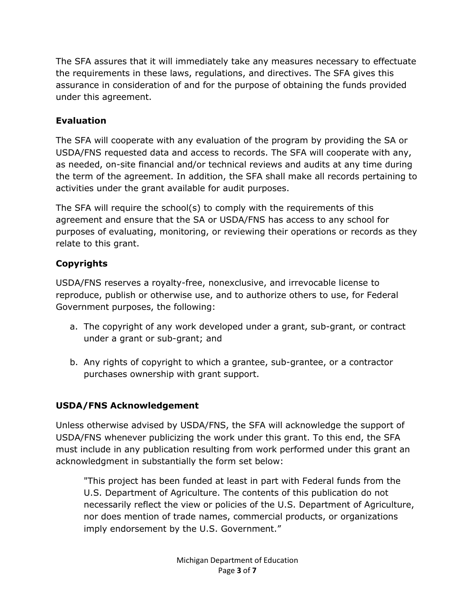The SFA assures that it will immediately take any measures necessary to effectuate the requirements in these laws, regulations, and directives. The SFA gives this assurance in consideration of and for the purpose of obtaining the funds provided under this agreement.

## **Evaluation**

The SFA will cooperate with any evaluation of the program by providing the SA or USDA/FNS requested data and access to records. The SFA will cooperate with any, as needed, on-site financial and/or technical reviews and audits at any time during the term of the agreement. In addition, the SFA shall make all records pertaining to activities under the grant available for audit purposes.

The SFA will require the school(s) to comply with the requirements of this agreement and ensure that the SA or USDA/FNS has access to any school for purposes of evaluating, monitoring, or reviewing their operations or records as they relate to this grant.

# **Copyrights**

USDA/FNS reserves a royalty-free, nonexclusive, and irrevocable license to reproduce, publish or otherwise use, and to authorize others to use, for Federal Government purposes, the following:

- a. The copyright of any work developed under a grant, sub-grant, or contract under a grant or sub-grant; and
- b. Any rights of copyright to which a grantee, sub-grantee, or a contractor purchases ownership with grant support.

### **USDA/FNS Acknowledgement**

Unless otherwise advised by USDA/FNS, the SFA will acknowledge the support of USDA/FNS whenever publicizing the work under this grant. To this end, the SFA must include in any publication resulting from work performed under this grant an acknowledgment in substantially the form set below:

"This project has been funded at least in part with Federal funds from the U.S. Department of Agriculture. The contents of this publication do not necessarily reflect the view or policies of the U.S. Department of Agriculture, nor does mention of trade names, commercial products, or organizations imply endorsement by the U.S. Government."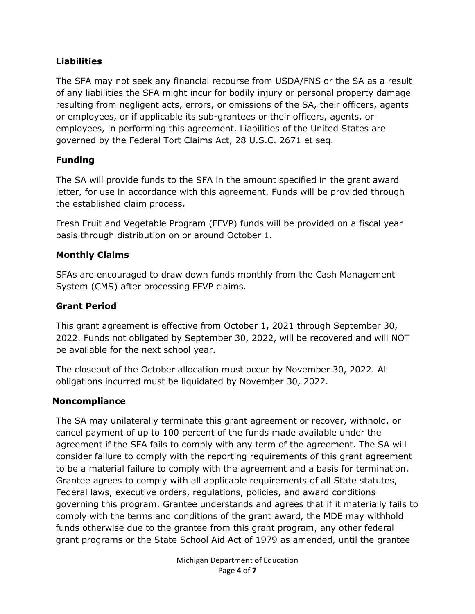#### **Liabilities**

The SFA may not seek any financial recourse from USDA/FNS or the SA as a result of any liabilities the SFA might incur for bodily injury or personal property damage resulting from negligent acts, errors, or omissions of the SA, their officers, agents or employees, or if applicable its sub-grantees or their officers, agents, or employees, in performing this agreement. Liabilities of the United States are governed by the Federal Tort Claims Act, 28 U.S.C. 2671 et seq.

### **Funding**

The SA will provide funds to the SFA in the amount specified in the grant award letter, for use in accordance with this agreement. Funds will be provided through the established claim process.

Fresh Fruit and Vegetable Program (FFVP) funds will be provided on a fiscal year basis through distribution on or around October 1.

### **Monthly Claims**

SFAs are encouraged to draw down funds monthly from the Cash Management System (CMS) after processing FFVP claims.

## **Grant Period**

This grant agreement is effective from October 1, 2021 through September 30, 2022. Funds not obligated by September 30, 2022, will be recovered and will NOT be available for the next school year.

The closeout of the October allocation must occur by November 30, 2022. All obligations incurred must be liquidated by November 30, 2022.

### **Noncompliance**

The SA may unilaterally terminate this grant agreement or recover, withhold, or cancel payment of up to 100 percent of the funds made available under the agreement if the SFA fails to comply with any term of the agreement. The SA will consider failure to comply with the reporting requirements of this grant agreement to be a material failure to comply with the agreement and a basis for termination. Grantee agrees to comply with all applicable requirements of all State statutes, Federal laws, executive orders, regulations, policies, and award conditions governing this program. Grantee understands and agrees that if it materially fails to comply with the terms and conditions of the grant award, the MDE may withhold funds otherwise due to the grantee from this grant program, any other federal grant programs or the State School Aid Act of 1979 as amended, until the grantee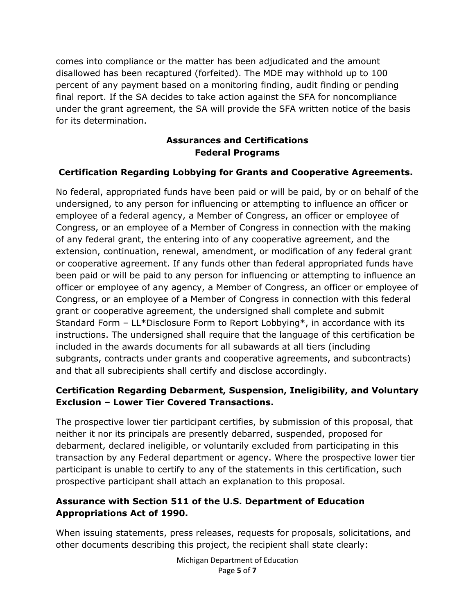comes into compliance or the matter has been adjudicated and the amount disallowed has been recaptured (forfeited). The MDE may withhold up to 100 percent of any payment based on a monitoring finding, audit finding or pending final report. If the SA decides to take action against the SFA for noncompliance under the grant agreement, the SA will provide the SFA written notice of the basis for its determination.

#### **Assurances and Certifications Federal Programs**

### **Certification Regarding Lobbying for Grants and Cooperative Agreements.**

No federal, appropriated funds have been paid or will be paid, by or on behalf of the undersigned, to any person for influencing or attempting to influence an officer or employee of a federal agency, a Member of Congress, an officer or employee of Congress, or an employee of a Member of Congress in connection with the making of any federal grant, the entering into of any cooperative agreement, and the extension, continuation, renewal, amendment, or modification of any federal grant or cooperative agreement. If any funds other than federal appropriated funds have been paid or will be paid to any person for influencing or attempting to influence an officer or employee of any agency, a Member of Congress, an officer or employee of Congress, or an employee of a Member of Congress in connection with this federal grant or cooperative agreement, the undersigned shall complete and submit Standard Form – LL\*Disclosure Form to Report Lobbying\*, in accordance with its instructions. The undersigned shall require that the language of this certification be included in the awards documents for all subawards at all tiers (including subgrants, contracts under grants and cooperative agreements, and subcontracts) and that all subrecipients shall certify and disclose accordingly.

#### **Certification Regarding Debarment, Suspension, Ineligibility, and Voluntary Exclusion – Lower Tier Covered Transactions.**

The prospective lower tier participant certifies, by submission of this proposal, that neither it nor its principals are presently debarred, suspended, proposed for debarment, declared ineligible, or voluntarily excluded from participating in this transaction by any Federal department or agency. Where the prospective lower tier participant is unable to certify to any of the statements in this certification, such prospective participant shall attach an explanation to this proposal.

#### **Assurance with Section 511 of the U.S. Department of Education Appropriations Act of 1990.**

When issuing statements, press releases, requests for proposals, solicitations, and other documents describing this project, the recipient shall state clearly:

> Michigan Department of Education Page **5** of **7**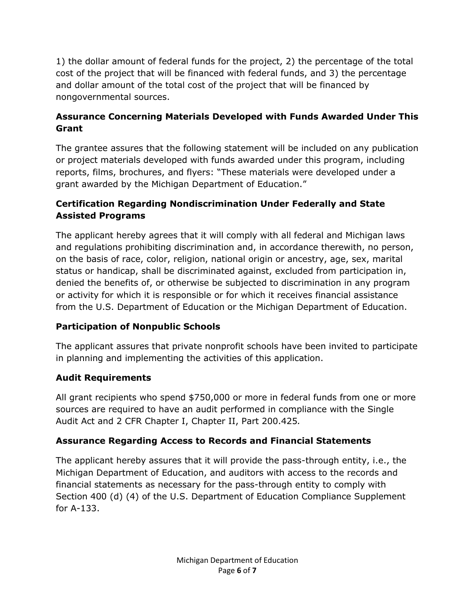1) the dollar amount of federal funds for the project, 2) the percentage of the total cost of the project that will be financed with federal funds, and 3) the percentage and dollar amount of the total cost of the project that will be financed by nongovernmental sources.

## **Assurance Concerning Materials Developed with Funds Awarded Under This Grant**

The grantee assures that the following statement will be included on any publication or project materials developed with funds awarded under this program, including reports, films, brochures, and flyers: "These materials were developed under a grant awarded by the Michigan Department of Education."

## **Certification Regarding Nondiscrimination Under Federally and State Assisted Programs**

The applicant hereby agrees that it will comply with all federal and Michigan laws and regulations prohibiting discrimination and, in accordance therewith, no person, on the basis of race, color, religion, national origin or ancestry, age, sex, marital status or handicap, shall be discriminated against, excluded from participation in, denied the benefits of, or otherwise be subjected to discrimination in any program or activity for which it is responsible or for which it receives financial assistance from the U.S. Department of Education or the Michigan Department of Education.

# **Participation of Nonpublic Schools**

The applicant assures that private nonprofit schools have been invited to participate in planning and implementing the activities of this application.

# **Audit Requirements**

All grant recipients who spend \$750,000 or more in federal funds from one or more sources are required to have an audit performed in compliance with the Single Audit Act and 2 CFR Chapter I, Chapter II, Part 200.425*.*

# **Assurance Regarding Access to Records and Financial Statements**

The applicant hereby assures that it will provide the pass-through entity, i.e., the Michigan Department of Education, and auditors with access to the records and financial statements as necessary for the pass-through entity to comply with Section 400 (d) (4) of the U.S. Department of Education Compliance Supplement for A-133.